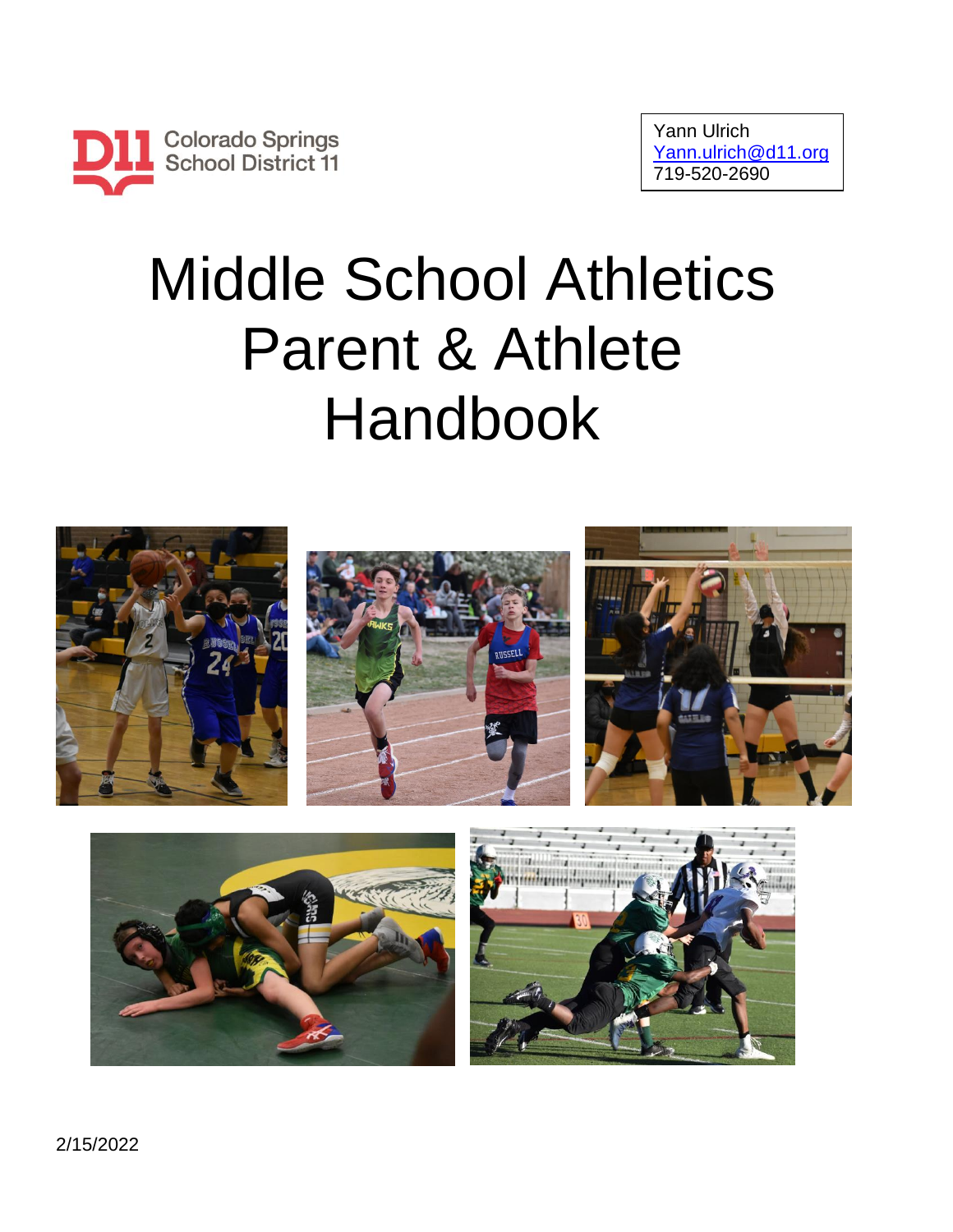

# Middle School Athletics Parent & Athlete Handbook







2/15/2022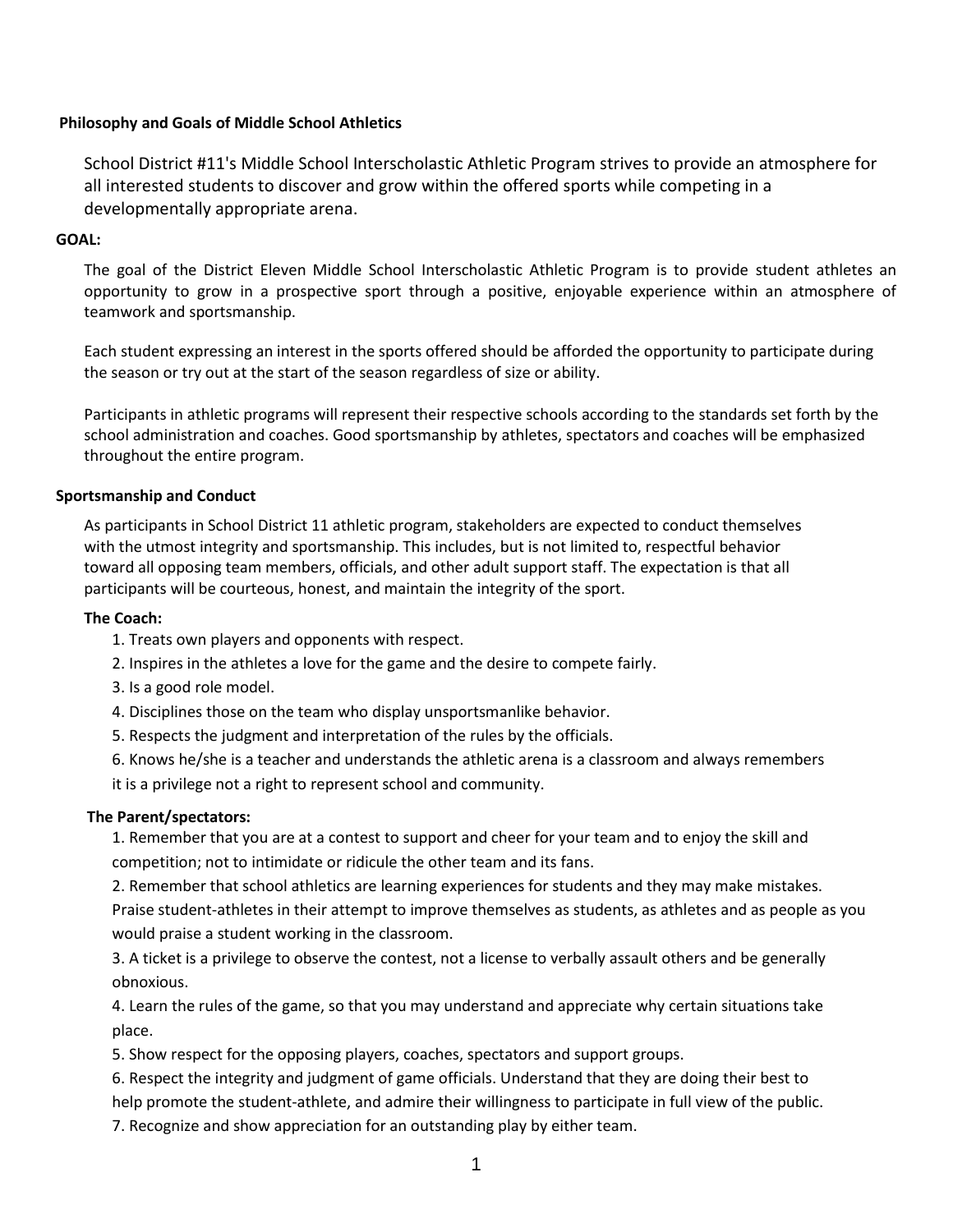## **Philosophy and Goals of Middle School Athletics**

School District #11's Middle School Interscholastic Athletic Program strives to provide an atmosphere for all interested students to discover and grow within the offered sports while competing in a developmentally appropriate arena.

### **GOAL:**

The goal of the District Eleven Middle School Interscholastic Athletic Program is to provide student athletes an opportunity to grow in a prospective sport through a positive, enjoyable experience within an atmosphere of teamwork and sportsmanship.

Each student expressing an interest in the sports offered should be afforded the opportunity to participate during the season or try out at the start of the season regardless of size or ability.

Participants in athletic programs will represent their respective schools according to the standards set forth by the school administration and coaches. Good sportsmanship by athletes, spectators and coaches will be emphasized throughout the entire program.

## **Sportsmanship and Conduct**

As participants in School District 11 athletic program, stakeholders are expected to conduct themselves with the utmost integrity and sportsmanship. This includes, but is not limited to, respectful behavior toward all opposing team members, officials, and other adult support staff. The expectation is that all participants will be courteous, honest, and maintain the integrity of the sport.

#### **The Coach:**

- 1. Treats own players and opponents with respect.
- 2. Inspires in the athletes a love for the game and the desire to compete fairly.
- 3. Is a good role model.
- 4. Disciplines those on the team who display unsportsmanlike behavior.
- 5. Respects the judgment and interpretation of the rules by the officials.
- 6. Knows he/she is a teacher and understands the athletic arena is a classroom and always remembers
- it is a privilege not a right to represent school and community.

#### **The Parent/spectators:**

1. Remember that you are at a contest to support and cheer for your team and to enjoy the skill and competition; not to intimidate or ridicule the other team and its fans.

2. Remember that school athletics are learning experiences for students and they may make mistakes.

Praise student-athletes in their attempt to improve themselves as students, as athletes and as people as you would praise a student working in the classroom.

3. A ticket is a privilege to observe the contest, not a license to verbally assault others and be generally obnoxious.

4. Learn the rules of the game, so that you may understand and appreciate why certain situations take place.

5. Show respect for the opposing players, coaches, spectators and support groups.

6. Respect the integrity and judgment of game officials. Understand that they are doing their best to

help promote the student-athlete, and admire their willingness to participate in full view of the public.

7. Recognize and show appreciation for an outstanding play by either team.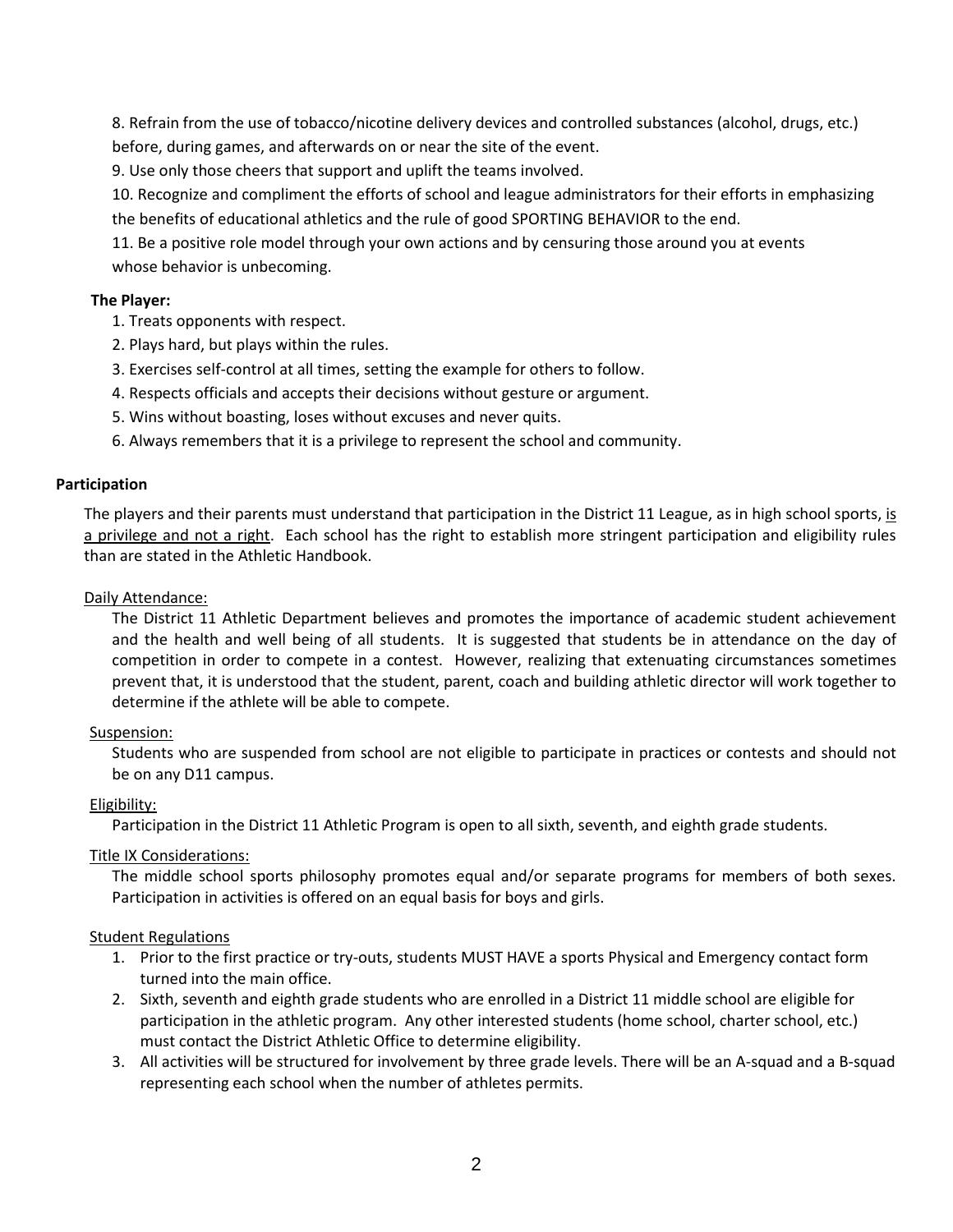8. Refrain from the use of tobacco/nicotine delivery devices and controlled substances (alcohol, drugs, etc.) before, during games, and afterwards on or near the site of the event.

9. Use only those cheers that support and uplift the teams involved.

10. Recognize and compliment the efforts of school and league administrators for their efforts in emphasizing the benefits of educational athletics and the rule of good SPORTING BEHAVIOR to the end.

11. Be a positive role model through your own actions and by censuring those around you at events whose behavior is unbecoming.

# **The Player:**

- 1. Treats opponents with respect.
- 2. Plays hard, but plays within the rules.
- 3. Exercises self-control at all times, setting the example for others to follow.
- 4. Respects officials and accepts their decisions without gesture or argument.
- 5. Wins without boasting, loses without excuses and never quits.
- 6. Always remembers that it is a privilege to represent the school and community.

#### **Participation**

The players and their parents must understand that participation in the District 11 League, as in high school sports, is a privilege and not a right. Each school has the right to establish more stringent participation and eligibility rules than are stated in the Athletic Handbook.

#### Daily Attendance:

The District 11 Athletic Department believes and promotes the importance of academic student achievement and the health and well being of all students. It is suggested that students be in attendance on the day of competition in order to compete in a contest. However, realizing that extenuating circumstances sometimes prevent that, it is understood that the student, parent, coach and building athletic director will work together to determine if the athlete will be able to compete.

#### Suspension:

Students who are suspended from school are not eligible to participate in practices or contests and should not be on any D11 campus.

#### Eligibility:

Participation in the District 11 Athletic Program is open to all sixth, seventh, and eighth grade students.

#### Title IX Considerations:

The middle school sports philosophy promotes equal and/or separate programs for members of both sexes. Participation in activities is offered on an equal basis for boys and girls.

#### Student Regulations

- 1. Prior to the first practice or try-outs, students MUST HAVE a sports Physical and Emergency contact form turned into the main office.
- 2. Sixth, seventh and eighth grade students who are enrolled in a District 11 middle school are eligible for participation in the athletic program. Any other interested students (home school, charter school, etc.) must contact the District Athletic Office to determine eligibility.
- 3. All activities will be structured for involvement by three grade levels. There will be an A-squad and a B-squad representing each school when the number of athletes permits.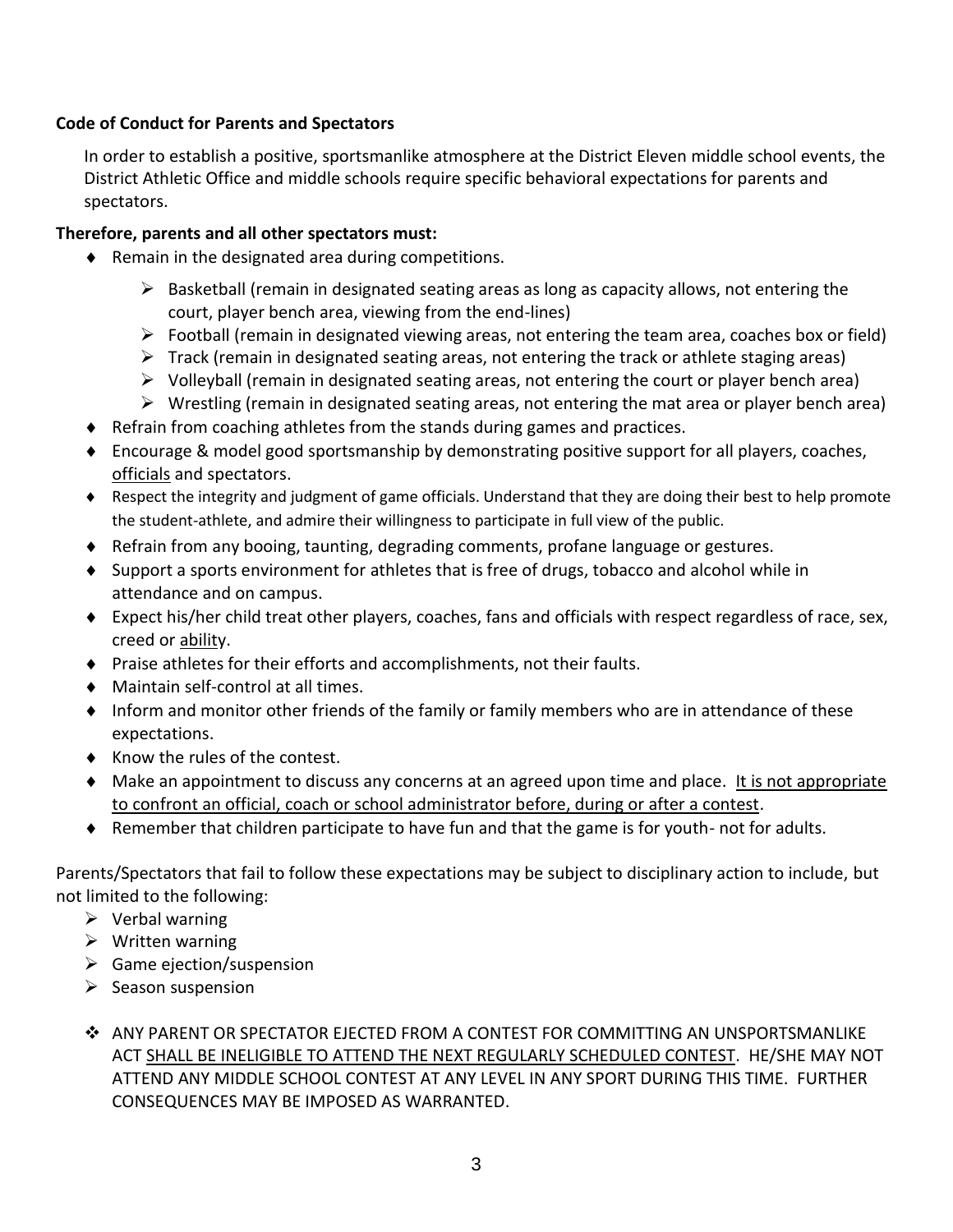# **Code of Conduct for Parents and Spectators**

In order to establish a positive, sportsmanlike atmosphere at the District Eleven middle school events, the District Athletic Office and middle schools require specific behavioral expectations for parents and spectators.

# **Therefore, parents and all other spectators must:**

- $\bullet$  Remain in the designated area during competitions.
	- $\triangleright$  Basketball (remain in designated seating areas as long as capacity allows, not entering the court, player bench area, viewing from the end-lines)
	- $\triangleright$  Football (remain in designated viewing areas, not entering the team area, coaches box or field)
	- $\triangleright$  Track (remain in designated seating areas, not entering the track or athlete staging areas)
	- $\triangleright$  Volleyball (remain in designated seating areas, not entering the court or player bench area)
	- $\triangleright$  Wrestling (remain in designated seating areas, not entering the mat area or player bench area)
- Refrain from coaching athletes from the stands during games and practices.
- Encourage & model good sportsmanship by demonstrating positive support for all players, coaches, officials and spectators.
- Respect the integrity and judgment of game officials. Understand that they are doing their best to help promote the student-athlete, and admire their willingness to participate in full view of the public.
- Refrain from any booing, taunting, degrading comments, profane language or gestures.
- $\bullet$  Support a sports environment for athletes that is free of drugs, tobacco and alcohol while in attendance and on campus.
- Expect his/her child treat other players, coaches, fans and officials with respect regardless of race, sex, creed or ability.
- Praise athletes for their efforts and accomplishments, not their faults.
- Maintain self-control at all times.
- Inform and monitor other friends of the family or family members who are in attendance of these expectations.
- ◆ Know the rules of the contest.
- Make an appointment to discuss any concerns at an agreed upon time and place. It is not appropriate to confront an official, coach or school administrator before, during or after a contest.
- $\triangle$  Remember that children participate to have fun and that the game is for youth- not for adults.

Parents/Spectators that fail to follow these expectations may be subject to disciplinary action to include, but not limited to the following:

- $\triangleright$  Verbal warning
- ➢ Written warning
- $\triangleright$  Game ejection/suspension
- $\triangleright$  Season suspension
- ❖ ANY PARENT OR SPECTATOR EJECTED FROM A CONTEST FOR COMMITTING AN UNSPORTSMANLIKE ACT SHALL BE INELIGIBLE TO ATTEND THE NEXT REGULARLY SCHEDULED CONTEST. HE/SHE MAY NOT ATTEND ANY MIDDLE SCHOOL CONTEST AT ANY LEVEL IN ANY SPORT DURING THIS TIME. FURTHER CONSEQUENCES MAY BE IMPOSED AS WARRANTED.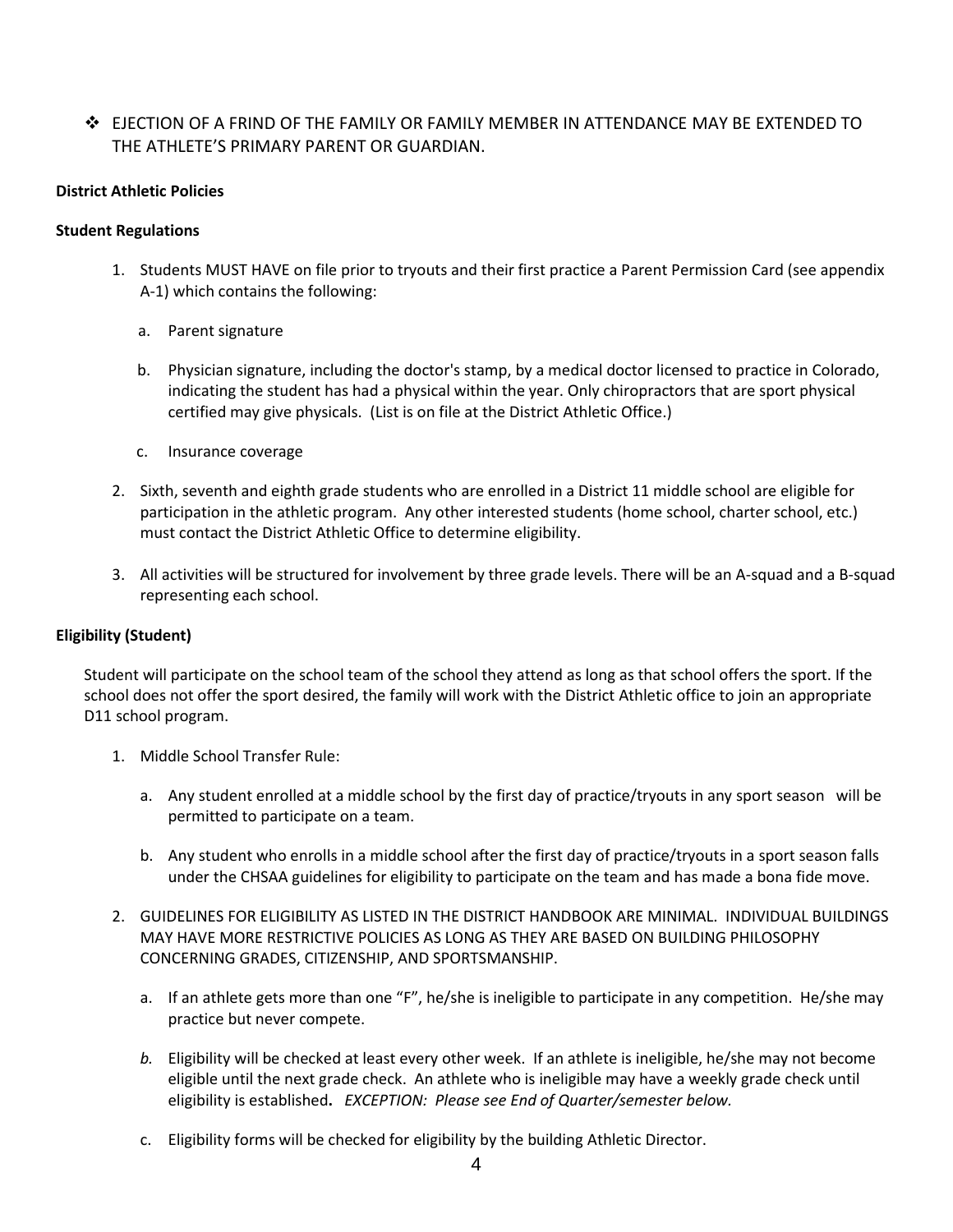# ❖ EJECTION OF A FRIND OF THE FAMILY OR FAMILY MEMBER IN ATTENDANCE MAY BE EXTENDED TO THE ATHLETE'S PRIMARY PARENT OR GUARDIAN.

### **District Athletic Policies**

#### **Student Regulations**

- 1. Students MUST HAVE on file prior to tryouts and their first practice a Parent Permission Card (see appendix A-1) which contains the following:
	- a. Parent signature
	- b. Physician signature, including the doctor's stamp, by a medical doctor licensed to practice in Colorado, indicating the student has had a physical within the year. Only chiropractors that are sport physical certified may give physicals. (List is on file at the District Athletic Office.)
	- c. Insurance coverage
- 2. Sixth, seventh and eighth grade students who are enrolled in a District 11 middle school are eligible for participation in the athletic program. Any other interested students (home school, charter school, etc.) must contact the District Athletic Office to determine eligibility.
- 3. All activities will be structured for involvement by three grade levels. There will be an A-squad and a B-squad representing each school.

# **Eligibility (Student)**

Student will participate on the school team of the school they attend as long as that school offers the sport. If the school does not offer the sport desired, the family will work with the District Athletic office to join an appropriate D11 school program.

- 1. Middle School Transfer Rule:
	- a. Any student enrolled at a middle school by the first day of practice/tryouts in any sport season will be permitted to participate on a team.
	- b. Any student who enrolls in a middle school after the first day of practice/tryouts in a sport season falls under the CHSAA guidelines for eligibility to participate on the team and has made a bona fide move.
- 2. GUIDELINES FOR ELIGIBILITY AS LISTED IN THE DISTRICT HANDBOOK ARE MINIMAL. INDIVIDUAL BUILDINGS MAY HAVE MORE RESTRICTIVE POLICIES AS LONG AS THEY ARE BASED ON BUILDING PHILOSOPHY CONCERNING GRADES, CITIZENSHIP, AND SPORTSMANSHIP.
	- a. If an athlete gets more than one "F", he/she is ineligible to participate in any competition. He/she may practice but never compete.
	- *b.* Eligibility will be checked at least every other week. If an athlete is ineligible, he/she may not become eligible until the next grade check. An athlete who is ineligible may have a weekly grade check until eligibility is established**.** *EXCEPTION: Please see End of Quarter/semester below.*
	- c. Eligibility forms will be checked for eligibility by the building Athletic Director.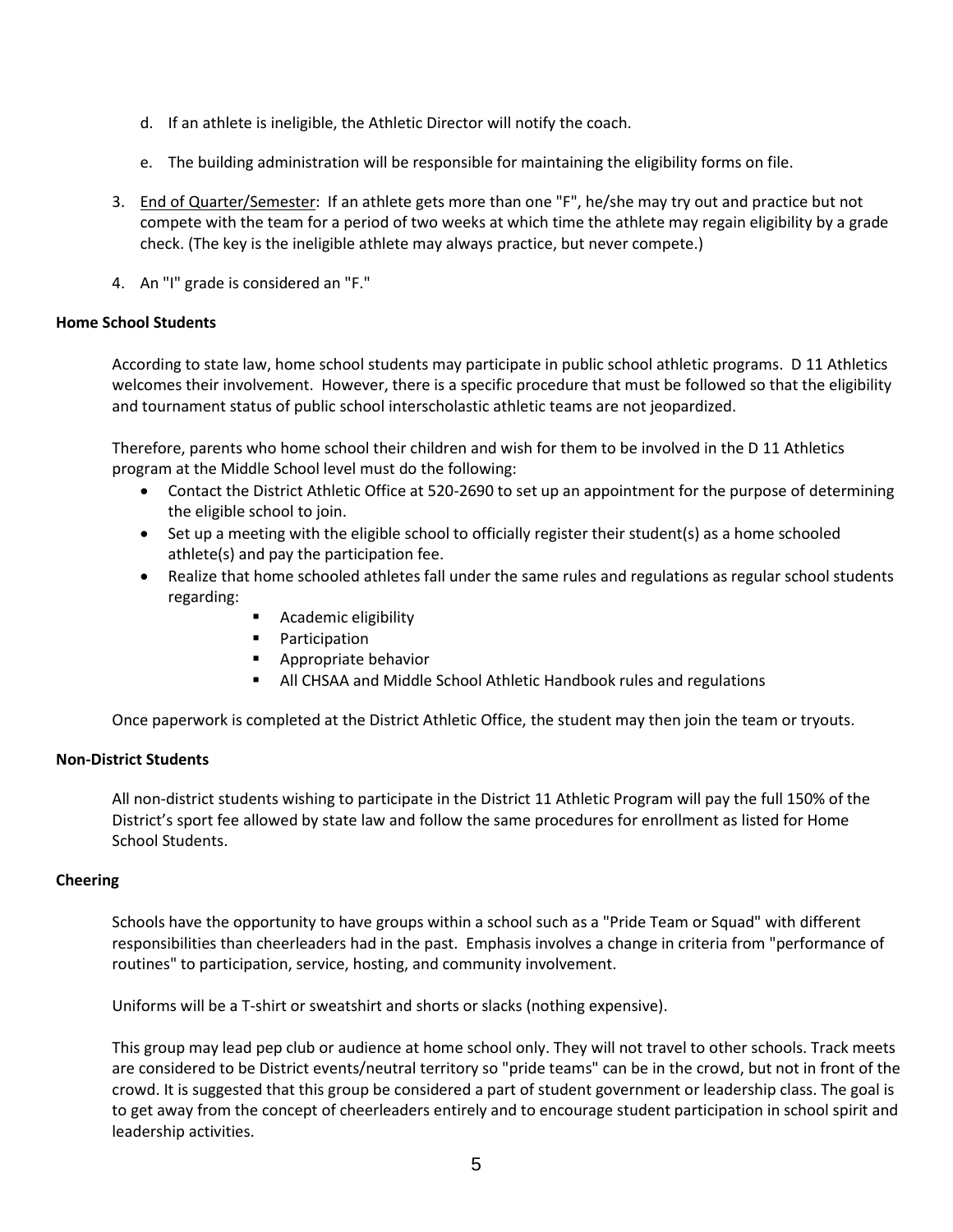- d. If an athlete is ineligible, the Athletic Director will notify the coach.
- e. The building administration will be responsible for maintaining the eligibility forms on file.
- 3. End of Quarter/Semester: If an athlete gets more than one "F", he/she may try out and practice but not compete with the team for a period of two weeks at which time the athlete may regain eligibility by a grade check. (The key is the ineligible athlete may always practice, but never compete.)
- 4. An "I" grade is considered an "F."

#### **Home School Students**

According to state law, home school students may participate in public school athletic programs. D 11 Athletics welcomes their involvement. However, there is a specific procedure that must be followed so that the eligibility and tournament status of public school interscholastic athletic teams are not jeopardized.

Therefore, parents who home school their children and wish for them to be involved in the D 11 Athletics program at the Middle School level must do the following:

- Contact the District Athletic Office at 520-2690 to set up an appointment for the purpose of determining the eligible school to join.
- Set up a meeting with the eligible school to officially register their student(s) as a home schooled athlete(s) and pay the participation fee.
- Realize that home schooled athletes fall under the same rules and regulations as regular school students regarding:
	- Academic eligibility
	- Participation
	- Appropriate behavior
	- All CHSAA and Middle School Athletic Handbook rules and regulations

Once paperwork is completed at the District Athletic Office, the student may then join the team or tryouts.

#### **Non-District Students**

All non-district students wishing to participate in the District 11 Athletic Program will pay the full 150% of the District's sport fee allowed by state law and follow the same procedures for enrollment as listed for Home School Students.

#### **Cheering**

Schools have the opportunity to have groups within a school such as a "Pride Team or Squad" with different responsibilities than cheerleaders had in the past. Emphasis involves a change in criteria from "performance of routines" to participation, service, hosting, and community involvement.

Uniforms will be a T-shirt or sweatshirt and shorts or slacks (nothing expensive).

This group may lead pep club or audience at home school only. They will not travel to other schools. Track meets are considered to be District events/neutral territory so "pride teams" can be in the crowd, but not in front of the crowd. It is suggested that this group be considered a part of student government or leadership class. The goal is to get away from the concept of cheerleaders entirely and to encourage student participation in school spirit and leadership activities.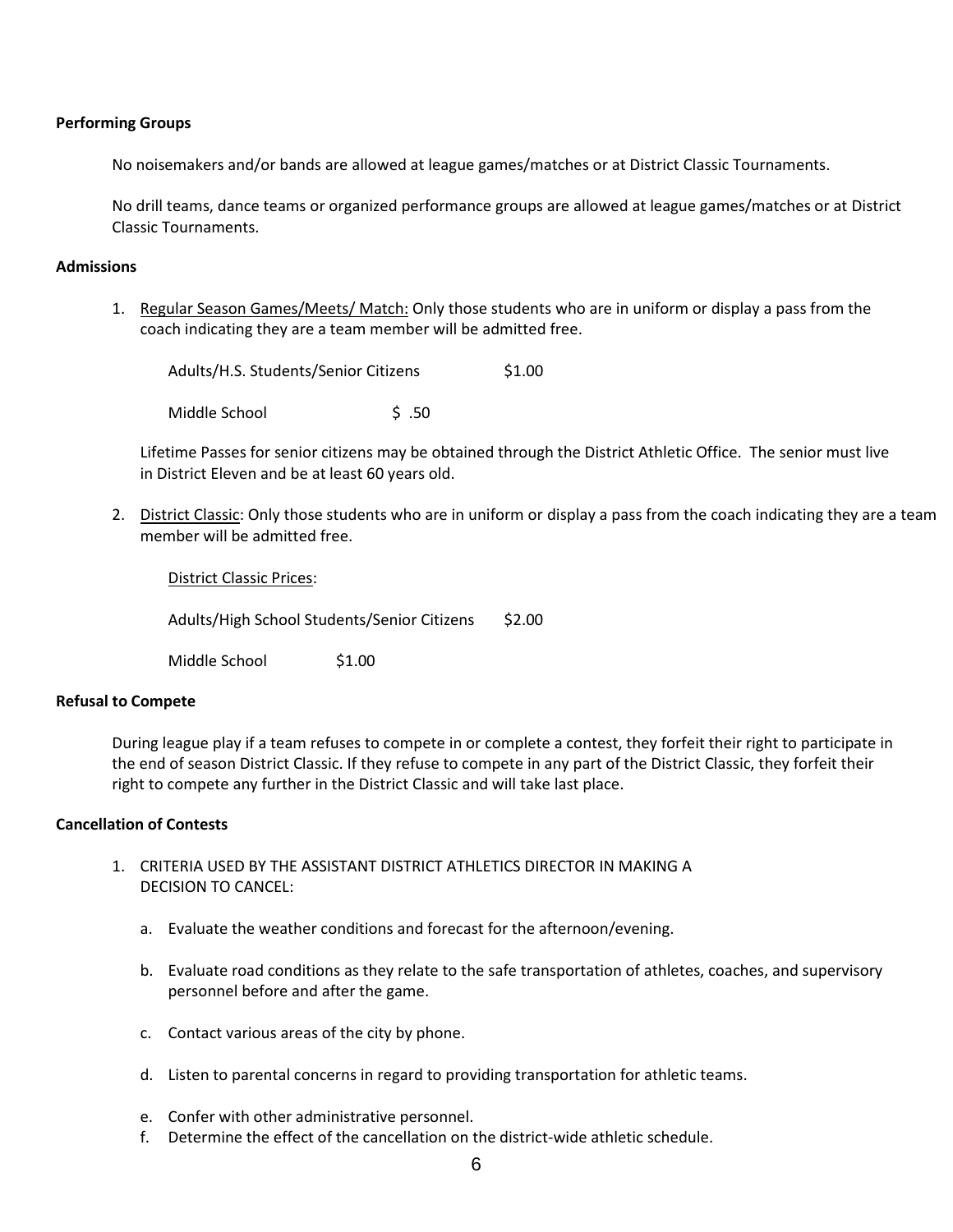#### **Performing Groups**

No noisemakers and/or bands are allowed at league games/matches or at District Classic Tournaments.

No drill teams, dance teams or organized performance groups are allowed at league games/matches or at District Classic Tournaments.

#### **Admissions**

1. Regular Season Games/Meets/ Match: Only those students who are in uniform or display a pass from the coach indicating they are a team member will be admitted free.

Adults/H.S. Students/Senior Citizens \$1.00 Middle School 5 .50

Lifetime Passes for senior citizens may be obtained through the District Athletic Office. The senior must live in District Eleven and be at least 60 years old.

2. District Classic: Only those students who are in uniform or display a pass from the coach indicating they are a team member will be admitted free.

District Classic Prices:

Adults/High School Students/Senior Citizens \$2.00

Middle School \$1.00

#### **Refusal to Compete**

During league play if a team refuses to compete in or complete a contest, they forfeit their right to participate in the end of season District Classic. If they refuse to compete in any part of the District Classic, they forfeit their right to compete any further in the District Classic and will take last place.

#### **Cancellation of Contests**

- 1. CRITERIA USED BY THE ASSISTANT DISTRICT ATHLETICS DIRECTOR IN MAKING A DECISION TO CANCEL:
	- a. Evaluate the weather conditions and forecast for the afternoon/evening.
	- b. Evaluate road conditions as they relate to the safe transportation of athletes, coaches, and supervisory personnel before and after the game.
	- c. Contact various areas of the city by phone.
	- d. Listen to parental concerns in regard to providing transportation for athletic teams.
	- e. Confer with other administrative personnel.
	- f. Determine the effect of the cancellation on the district-wide athletic schedule.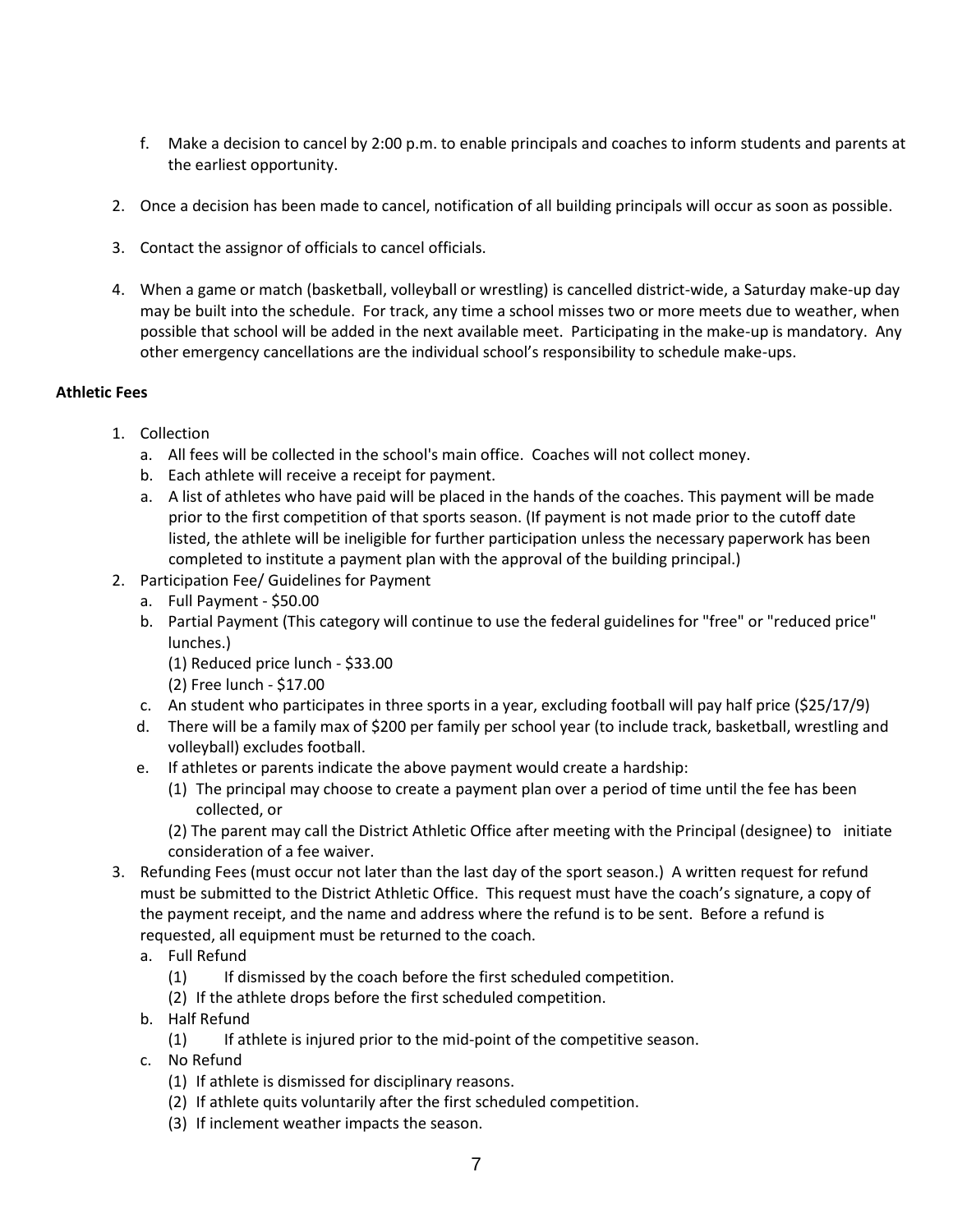- f. Make a decision to cancel by 2:00 p.m. to enable principals and coaches to inform students and parents at the earliest opportunity.
- 2. Once a decision has been made to cancel, notification of all building principals will occur as soon as possible.
- 3. Contact the assignor of officials to cancel officials.
- 4. When a game or match (basketball, volleyball or wrestling) is cancelled district-wide, a Saturday make-up day may be built into the schedule. For track, any time a school misses two or more meets due to weather, when possible that school will be added in the next available meet. Participating in the make-up is mandatory. Any other emergency cancellations are the individual school's responsibility to schedule make-ups.

## **Athletic Fees**

- 1. Collection
	- a. All fees will be collected in the school's main office. Coaches will not collect money.
	- b. Each athlete will receive a receipt for payment.
	- a. A list of athletes who have paid will be placed in the hands of the coaches. This payment will be made prior to the first competition of that sports season. (If payment is not made prior to the cutoff date listed, the athlete will be ineligible for further participation unless the necessary paperwork has been completed to institute a payment plan with the approval of the building principal.)
- 2. Participation Fee/ Guidelines for Payment
	- a. Full Payment \$50.00
	- b. Partial Payment (This category will continue to use the federal guidelines for "free" or "reduced price" lunches.)
		- (1) Reduced price lunch \$33.00
		- (2) Free lunch \$17.00
	- c. An student who participates in three sports in a year, excluding football will pay half price (\$25/17/9)
	- d. There will be a family max of \$200 per family per school year (to include track, basketball, wrestling and volleyball) excludes football.
	- e. If athletes or parents indicate the above payment would create a hardship:
		- (1) The principal may choose to create a payment plan over a period of time until the fee has been collected, or

(2) The parent may call the District Athletic Office after meeting with the Principal (designee) to initiate consideration of a fee waiver.

- 3. Refunding Fees (must occur not later than the last day of the sport season.) A written request for refund must be submitted to the District Athletic Office. This request must have the coach's signature, a copy of the payment receipt, and the name and address where the refund is to be sent. Before a refund is requested, all equipment must be returned to the coach.
	- a. Full Refund
		- (1) If dismissed by the coach before the first scheduled competition.
		- (2) If the athlete drops before the first scheduled competition.
	- b. Half Refund
		- (1) If athlete is injured prior to the mid-point of the competitive season.
	- c. No Refund
		- (1) If athlete is dismissed for disciplinary reasons.
		- (2) If athlete quits voluntarily after the first scheduled competition.
		- (3) If inclement weather impacts the season.